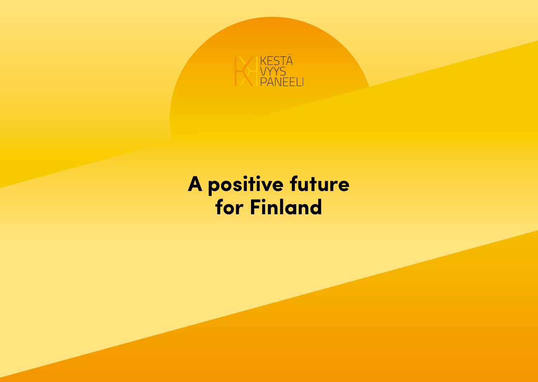

# **A positive future A positive future for Finland**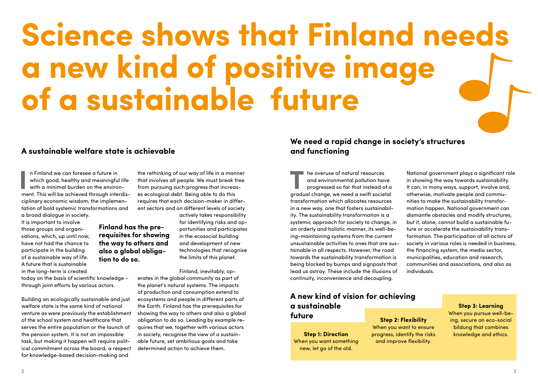# **Science shows that Finland needs a new kind of positive image of a sustainable future**

#### **A sustainable welfare state is achievable**

**Finland has the prerequisites for showing the way to others and also a global obliga-**

**tion to do so.**

In Finland we can foresee a future in<br>
which good, healthy and meaningful life<br>
with a minimal burden on the environ-<br>
ment. This will be achieved through interdisn Finland we can foresee a future in which good, healthy and meaningful life with a minimal burden on the environciplinary economic wisdom, the implementation of bold systemic transformations and a broad dialogue in society.

It is important to involve those groups and organisations, which, up until now, have not had the chance to participate in the building of a sustainable way of life. A future that is sustainable in the long-term is created

today on the basis of scientific knowledge – through joint efforts by various actors.

Building an ecologically sustainable and just welfare state is the same kind of national venture as were previously the establishment of the school system and healthcare that serves the entire population or the launch of the pension system. It is not an impossible task, but making it happen will require political commitment across the board, a respect for knowledge-based decision-making and

the rethinking of our way of life in a manner that involves all people. We must break free from pursuing such progress that increases ecological debt. Being able to do this requires that each decision-maker in different sectors and on different levels of society

> actively takes responsibility for identifying risks and opportunities and participates in the ecosocial building and development of new technologies that recognise the limits of this planet.

Finland, inevitably, operates in the global community as part of the planet's natural systems. The impacts of production and consumption extend to ecosystems and people in different parts of the Earth. Finland has the prerequisites for showing the way to others and also a global obligation to do so. Leading by example requires that we, together with various actors in society, recognise the view of a sustainable future, set ambitious goals and take determined action to achieve them.

#### **We need a rapid change in society's structures and functioning**

**TRANSISTER HE OVERVISE OF NATURE SOURCES**<br>
progressed so far that instead of a<br>
progressed so far that instead of a<br>
product shapes we need a swift societal and environmental pollution have gradual change, we need a swift societal transformation which allocates resources in a new way, one that fosters sustainability. The sustainability transformation is a systemic approach for society to change, in an orderly and holistic manner, its well-being-maintaining systems from the current unsustainable activities to ones that are sustainable in all respects. However, the road towards the sustainability transformation is being blocked by bumps and signposts that lead us astray. These include the illusions of continuity, inconvenience and decoupling.

**A new kind of vision for achieving a sustainable future**

**Step 1: Direction**  When you want something new, let go of the old.

National government plays a significant role in showing the way towards sustainability. It can, in many ways, support, involve and, otherwise, motivate people and communities to make the sustainability transformation happen. National government can dismantle obstacles and modify structures, but it, alone, cannot build a sustainable future or accelerate the sustainability transformation. The participation of all actors of society in various roles is needed in business, the financing system, the media sector, municipalities, education and research, communities and associations, and also as individuals.

### **Step 2: Flexibility** When you want to ensure

progress, identify the risks and improve flexibility.

#### **Step 3: Learning**

When you pursue well-being, secure an eco-social bildung that combines knowledge and ethics.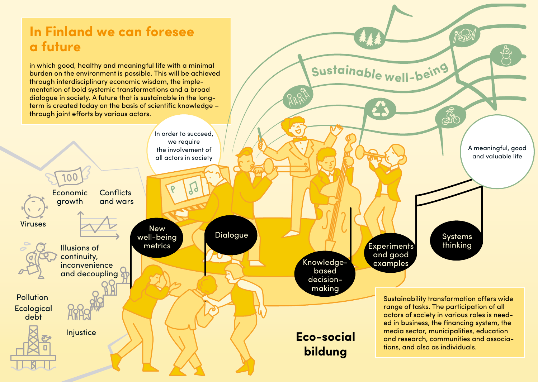# **In Finland we can foresee a future**

in which good, healthy and meaningful life with a minimal burden on the environment is possible. This will be achieved through interdisciplinary economic wisdom, the implementation of bold systemic transformations and a broad dialogue in society. A future that is sustainable in the longterm is created today on the basis of scientific knowledge – through joint efforts by various actors.



**<sup>S</sup>ustainabl<sup>e</sup> <sup>w</sup>ell-bein<sup>g</sup>**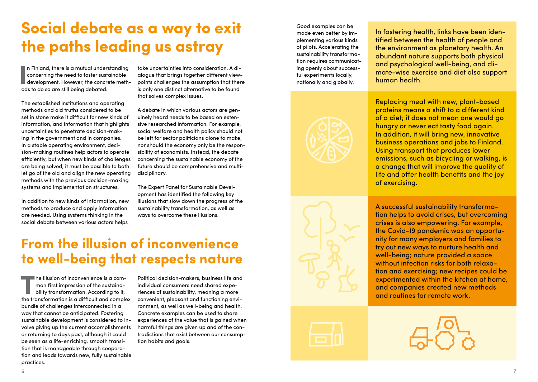# **Social debate as a way to exit the paths leading us astray**

In Finland, there is a mutual understanding<br>
concerning the need to foster sustainable<br>
development. However, the concrete meth-<br>
add to do so are still being debated n Finland, there is a mutual understanding concerning the need to foster sustainable ods to do so are still being debated.

The established institutions and operating methods and old truths considered to be set in stone make it difficult for new kinds of information, and information that highlights uncertainties to penetrate decision-making in the government and in companies. In a stable operating environment, decision-making routines help actors to operate efficiently, but when new kinds of challenges are being solved, it must be possible to both let go of the old and align the new operating methods with the previous decision-making systems and implementation structures.

In addition to new kinds of information, new methods to produce and apply information are needed. Using systems thinking in the social debate between various actors helps take uncertainties into consideration. A dialogue that brings together different viewpoints challenges the assumption that there is only one distinct alternative to be found that solves complex issues.

A debate in which various actors are genuinely heard needs to be based on extensive researched information. For example, social welfare and health policy should not be left for sector politicians alone to make, nor should the economy only be the responsibility of economists. Instead, the debate concerning the sustainable economy of the future should be comprehensive and multidisciplinary.

The Expert Panel for Sustainable Development has identified the following key illusions that slow down the progress of the sustainability transformation, as well as ways to overcome these illusions.

# **From the illusion of inconvenience to well-being that respects nature**

The illusion of inconvenience is a com-<br>mon first impression of the sustaina-<br>bility transformation. According to it,<br>the transformation is a difficult and comple mon first impression of the sustainability transformation. According to it, the transformation is a difficult and complex bundle of challenges interconnected in a way that cannot be anticipated. Fostering sustainable development is considered to involve giving up the current accomplishments or returning to days past, although it could be seen as a life-enriching, smooth transition that is manageable through cooperation and leads towards new, fully sustainable practices.

Political decision-makers, business life and individual consumers need shared experiences of sustainability, meaning a more convenient, pleasant and functioning environment, as well as well-being and health. Concrete examples can be used to share experiences of the value that is gained when harmful things are given up and of the contradictions that exist between our consumption habits and goals.

Good examples can be made even better by implementing various kinds of pilots. Accelerating the sustainability transformation requires communicating openly about successful experiments locally, nationally and globally.



In fostering health, links have been identified between the health of people and the environment as planetary health. An abundant nature supports both physical and psychological well-being, and climate-wise exercise and diet also support human health.

Replacing meat with new, plant-based proteins means a shift to a different kind of a diet; it does not mean one would go hungry or never eat tasty food again. In addition, it will bring new, innovative business operations and jobs to Finland. Using transport that produces lower emissions, such as bicycling or walking, is a change that will improve the quality of life and offer health benefits and the joy of exercising.

A successful sustainability transformation helps to avoid crises, but overcoming crises is also empowering. For example, the Covid-19 pandemic was an opportunity for many employers and families to try out new ways to nurture health and well-being; nature provided a space without infection risks for both relaxation and exercising; new recipes could be experimented within the kitchen at home, and companies created new methods and routines for remote work.

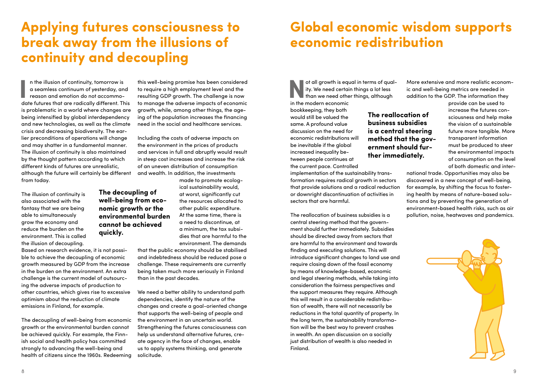## **Applying futures consciousness to break away from the illusions of continuity and decoupling**

**The decoupling of well-being from economic growth or the environmental burden cannot be achieved** 

**quickly.**

In the illusion of continuity, tomorrow is<br>
a seamless continuum of yesterday, and<br>
reason and emotion do not accommo-<br>
date futures that are radically different. This n the illusion of continuity, tomorrow is a seamless continuum of yesterday, and reason and emotion do not accommois problematic in a world where changes are being intensified by global interdependency and new technologies, as well as the climate crisis and decreasing biodiversity. The earlier preconditions of operations will change and may shatter in a fundamental manner. The illusion of continuity is also maintained by the thought pattern according to which different kinds of futures are unrealistic, although the future will certainly be different from today.

The illusion of continuity is also associated with the fantasy that we are being able to simultaneously grow the economy and reduce the burden on the environment. This is called the illusion of decoupling.

Based on research evidence, it is not possible to achieve the decoupling of economic growth measured by GDP from the increase in the burden on the environment. An extra challenge is the current model of outsourcing the adverse impacts of production to other countries, which gives rise to excessive optimism about the reduction of climate emissions in Finland, for example.

The decoupling of well-being from economic growth or the environmental burden cannot be achieved quickly. For example, the Finnish social and health policy has committed strongly to advancing the well-being and health of citizens since the 1960s. Redeeming

this well-being promise has been considered to require a high employment level and the resulting GDP growth. The challenge is now to manage the adverse impacts of economic growth, while, among other things, the ageing of the population increases the financing need in the social and healthcare services.

Including the costs of adverse impacts on the environment in the prices of products and services in full and abruptly would result in steep cost increases and increase the risk of an uneven distribution of consumption and wealth. In addition, the investments

> made to promote ecological sustainability would, at worst, significantly cut the resources allocated to other public expenditure. At the same time, there is a need to discontinue, at a minimum, the tax subsidies that are harmful to the environment. The demands

that the public economy should be stabilised and indebtedness should be reduced pose a challenge. These requirements are currently being taken much more seriously in Finland than in the past decades.

We need a better ability to understand path dependencies, identify the nature of the changes and create a goal-oriented change that supports the well-being of people and the environment in an uncertain world. Strengthening the futures consciousness can help us understand alternative futures, create agency in the face of changes, enable us to apply systems thinking, and generate solicitude.

## **Global economic wisdom supports economic redistribution**

**The reallocation of business subsidies is a central steering method that the government should further immediately.**

ot all growth is equal in terms of qual-<br>ity. We need certain things a lot less<br>than we need other things, although<br>in the modern economic ity. We need certain things a lot less than we need other things, although

in the modern economic bookkeeping, they both would still be valued the same. A profound value discussion on the need for economic redistributions will be inevitable if the global increased inequality between people continues at the current pace. Controlled

implementation of the sustainability transformation requires radical growth in sectors that provide solutions and a radical reduction or downright discontinuation of activities in sectors that are harmful.

The reallocation of business subsidies is a central steering method that the government should further immediately. Subsidies should be directed away from sectors that are harmful to the environment and towards finding and executing solutions. This will introduce significant changes to land use and require closing down of the fossil economy by means of knowledge-based, economic and legal steering methods, while taking into consideration the fairness perspectives and the support measures they require. Although this will result in a considerable redistribution of wealth, there will not necessarily be reductions in the total quantity of property. In the long term, the sustainability transformation will be the best way to prevent crashes in wealth. An open discussion on a socially just distribution of wealth is also needed in Finland.

More extensive and more realistic economic and well-being metrics are needed in addition to the GDP. The information they

> increase the futures consciousness and help make the vision of a sustainable future more tangible. More transparent information must be produced to steer the environmental impacts of consumption on the level of both domestic and inter-

provide can be used to

national trade. Opportunities may also be discovered in a new concept of well-being, for example, by shifting the focus to fostering health by means of nature-based solutions and by preventing the generation of environment-based health risks, such as air pollution, noise, heatwaves and pandemics.

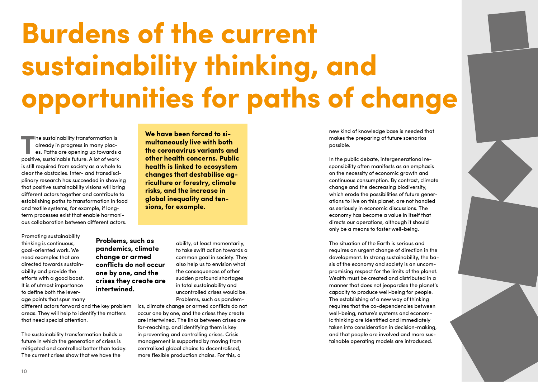# **Burdens of the current sustainability thinking, and opportunities for paths of change**

**The sustainability transformation is<br>already in progress in many plac-<br>es. Paths are opening up towards<br>positive sustainable future. A lot of work** already in progress in many places. Paths are opening up towards a positive, sustainable future. A lot of work is still required from society as a whole to clear the obstacles. Inter- and transdisciplinary research has succeeded in showing that positive sustainability visions will bring different actors together and contribute to establishing paths to transformation in food and textile systems, for example, if longterm processes exist that enable harmonious collaboration between different actors.

Promoting sustainability thinking is continuous, goal-oriented work. We need examples that are directed towards sustainability and provide the efforts with a good boost. It is of utmost importance to define both the leverage points that spur many

different actors forward and the key problem areas. They will help to identify the matters that need special attention.

**Problems, such as pandemics, climate change or armed conflicts do not occur one by one, and the crises they create are** 

**intertwined.** 

The sustainability transformation builds a future in which the generation of crises is mitigated and controlled better than today. The current crises show that we have the

**We have been forced to simultaneously live with both the coronavirus variants and other health concerns. Public health is linked to ecosystem changes that destabilise agriculture or forestry, climate risks, and the increase in global inequality and tensions, for example.** 

> ability, at least momentarily, to take swift action towards a common goal in society. They also help us to envision what the consequences of other sudden profound shortages in total sustainability and uncontrolled crises would be. Problems, such as pandem-

ics, climate change or armed conflicts do not occur one by one, and the crises they create are intertwined. The links between crises are far-reaching, and identifying them is key in preventing and controlling crises. Crisis management is supported by moving from centralised global chains to decentralised, more flexible production chains. For this, a

new kind of knowledge base is needed that makes the preparing of future scenarios possible.

In the public debate, intergenerational responsibility often manifests as an emphasis on the necessity of economic growth and continuous consumption. By contrast, climate change and the decreasing biodiversity, which erode the possibilities of future generations to live on this planet, are not handled as seriously in economic discussions. The economy has become a value in itself that directs our operations, although it should only be a means to foster well-being.

The situation of the Earth is serious and requires an urgent change of direction in the development. In strong sustainability, the basis of the economy and society is an uncompromising respect for the limits of the planet. Wealth must be created and distributed in a manner that does not jeopardise the planet's capacity to produce well-being for people. The establishing of a new way of thinking requires that the co-dependencies between well-being, nature's systems and economic thinking are identified and immediately taken into consideration in decision-making, and that people are involved and more sustainable operating models are introduced.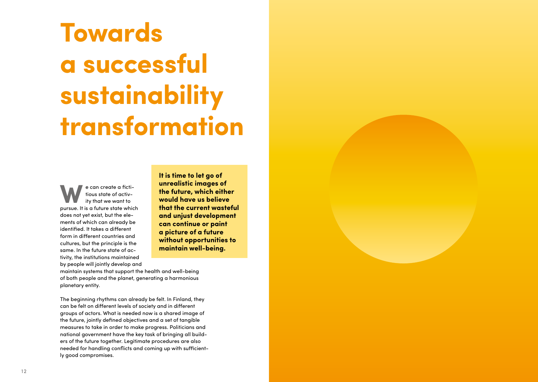# **Towards a successful sustainability transformation**

tious state of activity that we want to pursue. It is a future state which does not yet exist, but the ele ments of which can already be identified. It takes a different form in different countries and cultures, but the principle is the same. In the future state of ac tivity, the institutions maintained by people will jointly develop and

**It is time to let go of unrealistic images of the future, which either would have us believe that the current wasteful and unjust development can continue or paint a picture of a future without opportunities to maintain well-being.** 

maintain systems that support the health and well-being of both people and the planet, generating a harmonious planetary entity.

**Example 12 and the state of the state of the state of the state of the state of the state of the state of the state of the state of the state of the state of the state of the state of the state of the state of the state o** The beginning rhythms can already be felt. In Finland, they can be felt on different levels of society and in different groups of actors. What is needed now is a shared image of the future, jointly defined objectives and a set of tangible measures to take in order to make progress. Politicians and national government have the key task of bringing all build ers of the future together. Legitimate procedures are also needed for handling conflicts and coming up with sufficient ly good compromises.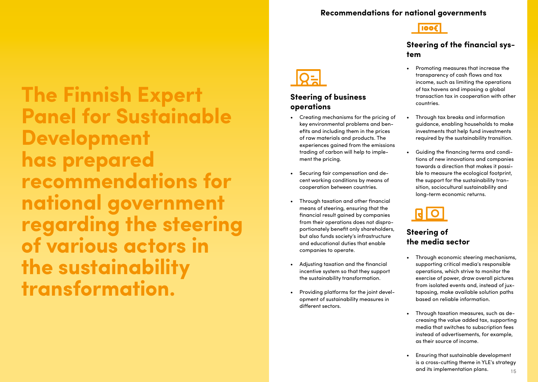#### **Recommendations for national governments**

**Tioo** 

#### **Steering of the financial system**

- Promoting measures that increase the transparency of cash flows and tax income, such as limiting the operations of tax havens and imposing a global transaction tax in cooperation with other countries.
- Through tax breaks and information guidance, enabling households to make investments that help fund investments required by the sustainability transition.
- Guiding the financing terms and conditions of new innovations and companies towards a direction that makes it possible to measure the ecological footprint, the support for the sustainability transition, sociocultural sustainability and long-term economic returns.

### **Steering of the media sector**

- Through economic steering mechanisms, supporting critical media's responsible operations, which strive to monitor the exercise of power, draw overall pictures from isolated events and, instead of juxtaposing, make available solution paths based on reliable information.
- Through taxation measures, such as decreasing the value added tax, supporting media that switches to subscription fees instead of advertisements, for example, as their source of income.
- is the contract of the contract of the contract of the contract of the contract of the contract of the contract of the contract of the contract of the contract of the contract of the contract of the contract of the contra • Ensuring that sustainable development is a cross-cutting theme in YLE's strategy and its implementation plans.

**The Finnish Expert Panel for Sustainable Development has prepared recommendations for national government regarding the steering of various actors in the sustainability transformation.** 

### **Steering of business operations**

- Creating mechanisms for the pricing of key environmental problems and benefits and including them in the prices of raw materials and products. The experiences gained from the emissions trading of carbon will help to implement the pricing.
- Securing fair compensation and decent working conditions by means of cooperation between countries.
- Through taxation and other financial means of steering, ensuring that the financial result gained by companies from their operations does not disproportionately benefit only shareholders, but also funds society's infrastructure and educational duties that enable companies to operate.
- Adjusting taxation and the financial incentive system so that they support the sustainability transformation.
- Providing platforms for the joint development of sustainability measures in different sectors.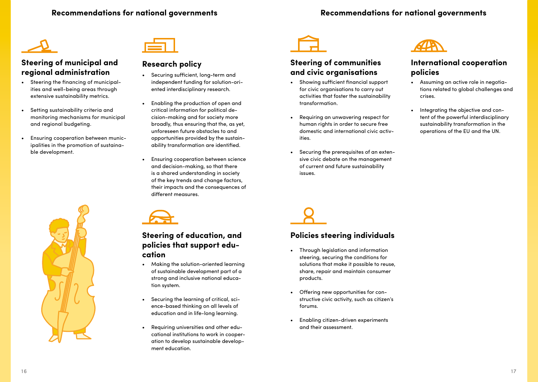

#### **Steering of municipal and regional administration**

- Steering the financing of municipalities and well-being areas through extensive sustainability metrics.
- Setting sustainability criteria and monitoring mechanisms for municipal and regional budgeting.
- Ensuring cooperation between municipalities in the promotion of sustainable development.



#### **Research policy**

- Securing sufficient, long-term and independent funding for solution-oriented interdisciplinary research.
- Enabling the production of open and critical information for political decision-making and for society more broadly, thus ensuring that the, as yet, unforeseen future obstacles to and opportunities provided by the sustainability transformation are identified.
- Ensuring cooperation between science and decision-making, so that there is a shared understanding in society of the key trends and change factors, their impacts and the consequences of different measures.





#### **Steering of education, and policies that support education**

- Making the solution-oriented learning of sustainable development part of a strong and inclusive national education system.
- Securing the learning of critical, science-based thinking on all levels of education and in life-long learning.
- Requiring universities and other educational institutions to work in cooperation to develop sustainable development education.



### **Steering of communities and civic organisations**

- Showing sufficient financial support for civic organisations to carry out activities that foster the sustainability transformation.
- Requiring an unwavering respect for human rights in order to secure free domestic and international civic activities.
- Securing the prerequisites of an extensive civic debate on the management of current and future sustainability issues.



#### **International cooperation policies**

- Assuming an active role in negotiations related to global challenges and crises.
- Integrating the objective and content of the powerful interdisciplinary sustainability transformation in the operations of the EU and the UN.

### **Policies steering individuals**

- Through legislation and information steering, securing the conditions for solutions that make it possible to reuse, share, repair and maintain consumer products.
- Offering new opportunities for constructive civic activity, such as citizen's forums.
- Enabling citizen-driven experiments and their assessment.